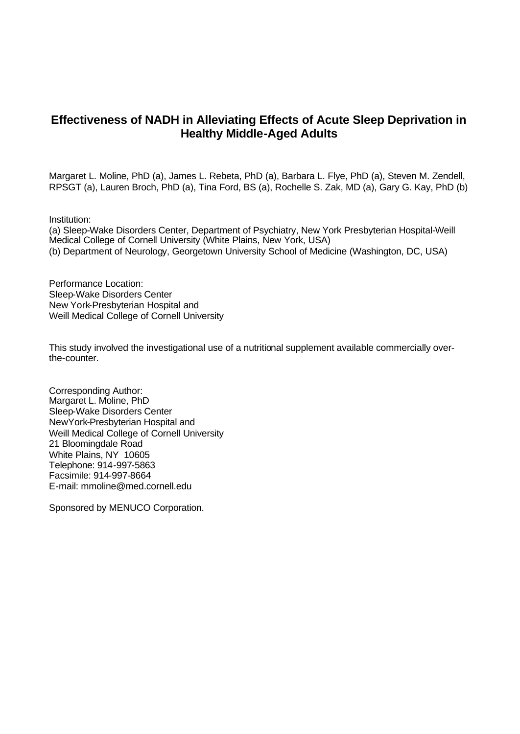# **Effectiveness of NADH in Alleviating Effects of Acute Sleep Deprivation in Healthy Middle-Aged Adults**

Margaret L. Moline, PhD (a), James L. Rebeta, PhD (a), Barbara L. Flye, PhD (a), Steven M. Zendell, RPSGT (a), Lauren Broch, PhD (a), Tina Ford, BS (a), Rochelle S. Zak, MD (a), Gary G. Kay, PhD (b)

Institution:

(a) Sleep-Wake Disorders Center, Department of Psychiatry, New York Presbyterian Hospital-Weill Medical College of Cornell University (White Plains, New York, USA) (b) Department of Neurology, Georgetown University School of Medicine (Washington, DC, USA)

Performance Location: Sleep-Wake Disorders Center New York-Presbyterian Hospital and Weill Medical College of Cornell University

This study involved the investigational use of a nutritional supplement available commercially overthe-counter.

Corresponding Author: Margaret L. Moline, PhD Sleep-Wake Disorders Center NewYork-Presbyterian Hospital and Weill Medical College of Cornell University 21 Bloomingdale Road White Plains, NY 10605 Telephone: 914-997-5863 Facsimile: 914-997-8664 E-mail: mmoline@med.cornell.edu

Sponsored by MENUCO Corporation.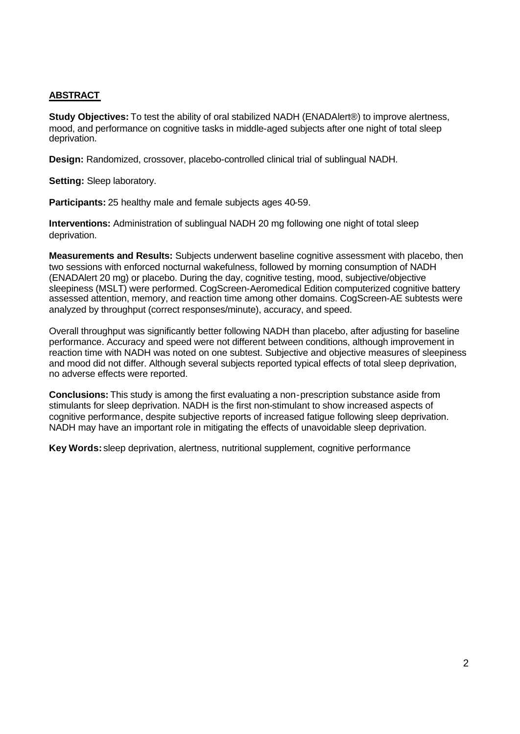### **ABSTRACT**

**Study Objectives:** To test the ability of oral stabilized NADH (ENADAlert®) to improve alertness, mood, and performance on cognitive tasks in middle-aged subjects after one night of total sleep deprivation.

**Design:** Randomized, crossover, placebo-controlled clinical trial of sublingual NADH.

**Setting:** Sleep laboratory.

**Participants:** 25 healthy male and female subjects ages 40-59.

**Interventions:** Administration of sublingual NADH 20 mg following one night of total sleep deprivation.

**Measurements and Results:** Subjects underwent baseline cognitive assessment with placebo, then two sessions with enforced nocturnal wakefulness, followed by morning consumption of NADH (ENADAlert 20 mg) or placebo. During the day, cognitive testing, mood, subjective/objective sleepiness (MSLT) were performed. CogScreen-Aeromedical Edition computerized cognitive battery assessed attention, memory, and reaction time among other domains. CogScreen-AE subtests were analyzed by throughput (correct responses/minute), accuracy, and speed.

Overall throughput was significantly better following NADH than placebo, after adjusting for baseline performance. Accuracy and speed were not different between conditions, although improvement in reaction time with NADH was noted on one subtest. Subjective and objective measures of sleepiness and mood did not differ. Although several subjects reported typical effects of total sleep deprivation, no adverse effects were reported.

**Conclusions:** This study is among the first evaluating a non-prescription substance aside from stimulants for sleep deprivation. NADH is the first non-stimulant to show increased aspects of cognitive performance, despite subjective reports of increased fatigue following sleep deprivation. NADH may have an important role in mitigating the effects of unavoidable sleep deprivation.

**Key Words:** sleep deprivation, alertness, nutritional supplement, cognitive performance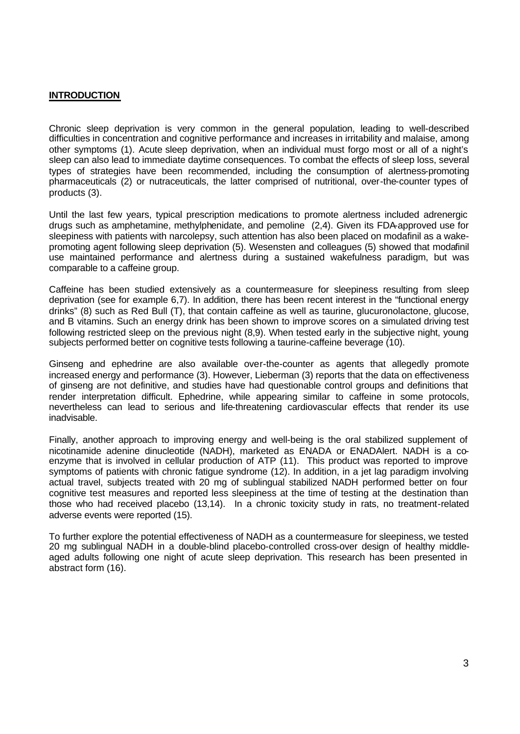#### **INTRODUCTION**

Chronic sleep deprivation is very common in the general population, leading to well-described difficulties in concentration and cognitive performance and increases in irritability and malaise, among other symptoms (1). Acute sleep deprivation, when an individual must forgo most or all of a night's sleep can also lead to immediate daytime consequences. To combat the effects of sleep loss, several types of strategies have been recommended, including the consumption of alertness-promoting pharmaceuticals (2) or nutraceuticals, the latter comprised of nutritional, over-the-counter types of products (3).

Until the last few years, typical prescription medications to promote alertness included adrenergic drugs such as amphetamine, methylphenidate, and pemoline (2,4). Given its FDA-approved use for sleepiness with patients with narcolepsy, such attention has also been placed on modafinil as a wakepromoting agent following sleep deprivation (5). Wesensten and colleagues (5) showed that modafinil use maintained performance and alertness during a sustained wakefulness paradigm, but was comparable to a caffeine group.

Caffeine has been studied extensively as a countermeasure for sleepiness resulting from sleep deprivation (see for example 6,7). In addition, there has been recent interest in the "functional energy drinks" (8) such as Red Bull (T), that contain caffeine as well as taurine, glucuronolactone, glucose, and B vitamins. Such an energy drink has been shown to improve scores on a simulated driving test following restricted sleep on the previous night (8,9). When tested early in the subjective night, young subjects performed better on cognitive tests following a taurine-caffeine beverage (10).

Ginseng and ephedrine are also available over-the-counter as agents that allegedly promote increased energy and performance (3). However, Lieberman (3) reports that the data on effectiveness of ginseng are not definitive, and studies have had questionable control groups and definitions that render interpretation difficult. Ephedrine, while appearing similar to caffeine in some protocols, nevertheless can lead to serious and life-threatening cardiovascular effects that render its use inadvisable.

Finally, another approach to improving energy and well-being is the oral stabilized supplement of nicotinamide adenine dinucleotide (NADH), marketed as ENADA or ENADAlert. NADH is a coenzyme that is involved in cellular production of ATP (11). This product was reported to improve symptoms of patients with chronic fatigue syndrome (12). In addition, in a jet lag paradigm involving actual travel, subjects treated with 20 mg of sublingual stabilized NADH performed better on four cognitive test measures and reported less sleepiness at the time of testing at the destination than those who had received placebo (13,14). In a chronic toxicity study in rats, no treatment-related adverse events were reported (15).

To further explore the potential effectiveness of NADH as a countermeasure for sleepiness, we tested 20 mg sublingual NADH in a double-blind placebo-controlled cross-over design of healthy middleaged adults following one night of acute sleep deprivation. This research has been presented in abstract form (16).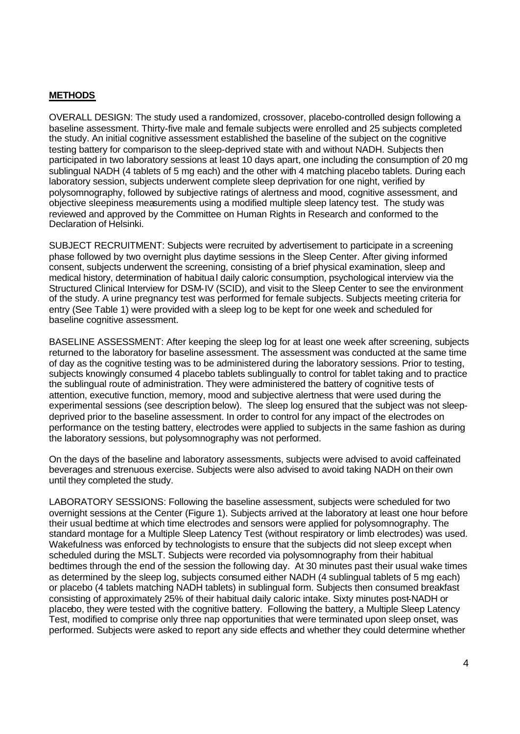#### **METHODS**

OVERALL DESIGN: The study used a randomized, crossover, placebo-controlled design following a baseline assessment. Thirty-five male and female subjects were enrolled and 25 subjects completed the study. An initial cognitive assessment established the baseline of the subject on the cognitive testing battery for comparison to the sleep-deprived state with and without NADH. Subjects then participated in two laboratory sessions at least 10 days apart, one including the consumption of 20 mg sublingual NADH (4 tablets of 5 mg each) and the other with 4 matching placebo tablets. During each laboratory session, subjects underwent complete sleep deprivation for one night, verified by polysomnography, followed by subjective ratings of alertness and mood, cognitive assessment, and objective sleepiness measurements using a modified multiple sleep latency test. The study was reviewed and approved by the Committee on Human Rights in Research and conformed to the Declaration of Helsinki.

SUBJECT RECRUITMENT: Subjects were recruited by advertisement to participate in a screening phase followed by two overnight plus daytime sessions in the Sleep Center. After giving informed consent, subjects underwent the screening, consisting of a brief physical examination, sleep and medical history, determination of habitual daily caloric consumption, psychological interview via the Structured Clinical Interview for DSM-IV (SCID), and visit to the Sleep Center to see the environment of the study. A urine pregnancy test was performed for female subjects. Subjects meeting criteria for entry (See Table 1) were provided with a sleep log to be kept for one week and scheduled for baseline cognitive assessment.

BASELINE ASSESSMENT: After keeping the sleep log for at least one week after screening, subjects returned to the laboratory for baseline assessment. The assessment was conducted at the same time of day as the cognitive testing was to be administered during the laboratory sessions. Prior to testing, subjects knowingly consumed 4 placebo tablets sublingually to control for tablet taking and to practice the sublingual route of administration. They were administered the battery of cognitive tests of attention, executive function, memory, mood and subjective alertness that were used during the experimental sessions (see description below). The sleep log ensured that the subject was not sleepdeprived prior to the baseline assessment. In order to control for any impact of the electrodes on performance on the testing battery, electrodes were applied to subjects in the same fashion as during the laboratory sessions, but polysomnography was not performed.

On the days of the baseline and laboratory assessments, subjects were advised to avoid caffeinated beverages and strenuous exercise. Subjects were also advised to avoid taking NADH on their own until they completed the study.

LABORATORY SESSIONS: Following the baseline assessment, subjects were scheduled for two overnight sessions at the Center (Figure 1). Subjects arrived at the laboratory at least one hour before their usual bedtime at which time electrodes and sensors were applied for polysomnography. The standard montage for a Multiple Sleep Latency Test (without respiratory or limb electrodes) was used. Wakefulness was enforced by technologists to ensure that the subjects did not sleep except when scheduled during the MSLT. Subjects were recorded via polysomnography from their habitual bedtimes through the end of the session the following day. At 30 minutes past their usual wake times as determined by the sleep log, subjects consumed either NADH (4 sublingual tablets of 5 mg each) or placebo (4 tablets matching NADH tablets) in sublingual form. Subjects then consumed breakfast consisting of approximately 25% of their habitual daily caloric intake. Sixty minutes post-NADH or placebo, they were tested with the cognitive battery. Following the battery, a Multiple Sleep Latency Test, modified to comprise only three nap opportunities that were terminated upon sleep onset, was performed. Subjects were asked to report any side effects and whether they could determine whether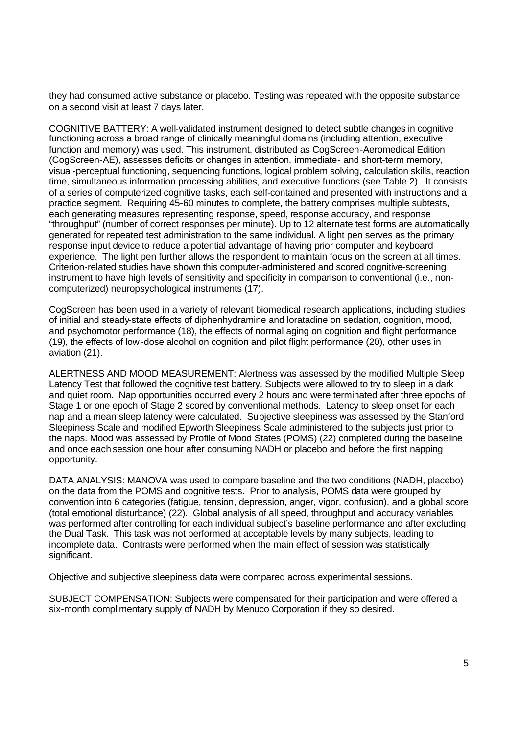they had consumed active substance or placebo. Testing was repeated with the opposite substance on a second visit at least 7 days later.

COGNITIVE BATTERY: A well-validated instrument designed to detect subtle changes in cognitive functioning across a broad range of clinically meaningful domains (including attention, executive function and memory) was used. This instrument, distributed as CogScreen-Aeromedical Edition (CogScreen-AE), assesses deficits or changes in attention, immediate- and short-term memory, visual-perceptual functioning, sequencing functions, logical problem solving, calculation skills, reaction time, simultaneous information processing abilities, and executive functions (see Table 2). It consists of a series of computerized cognitive tasks, each self-contained and presented with instructions and a practice segment. Requiring 45-60 minutes to complete, the battery comprises multiple subtests, each generating measures representing response, speed, response accuracy, and response "throughput" (number of correct responses per minute). Up to 12 alternate test forms are automatically generated for repeated test administration to the same individual. A light pen serves as the primary response input device to reduce a potential advantage of having prior computer and keyboard experience. The light pen further allows the respondent to maintain focus on the screen at all times. Criterion-related studies have shown this computer-administered and scored cognitive-screening instrument to have high levels of sensitivity and specificity in comparison to conventional (i.e., noncomputerized) neuropsychological instruments (17).

CogScreen has been used in a variety of relevant biomedical research applications, including studies of initial and steady-state effects of diphenhydramine and loratadine on sedation, cognition, mood, and psychomotor performance (18), the effects of normal aging on cognition and flight performance (19), the effects of low-dose alcohol on cognition and pilot flight performance (20), other uses in aviation (21).

ALERTNESS AND MOOD MEASUREMENT: Alertness was assessed by the modified Multiple Sleep Latency Test that followed the cognitive test battery. Subjects were allowed to try to sleep in a dark and quiet room. Nap opportunities occurred every 2 hours and were terminated after three epochs of Stage 1 or one epoch of Stage 2 scored by conventional methods. Latency to sleep onset for each nap and a mean sleep latency were calculated. Subjective sleepiness was assessed by the Stanford Sleepiness Scale and modified Epworth Sleepiness Scale administered to the subjects just prior to the naps. Mood was assessed by Profile of Mood States (POMS) (22) completed during the baseline and once each session one hour after consuming NADH or placebo and before the first napping opportunity.

DATA ANALYSIS: MANOVA was used to compare baseline and the two conditions (NADH, placebo) on the data from the POMS and cognitive tests. Prior to analysis, POMS data were grouped by convention into 6 categories (fatigue, tension, depression, anger, vigor, confusion), and a global score (total emotional disturbance) (22). Global analysis of all speed, throughput and accuracy variables was performed after controlling for each individual subject's baseline performance and after excluding the Dual Task. This task was not performed at acceptable levels by many subjects, leading to incomplete data. Contrasts were performed when the main effect of session was statistically significant.

Objective and subjective sleepiness data were compared across experimental sessions.

SUBJECT COMPENSATION: Subjects were compensated for their participation and were offered a six-month complimentary supply of NADH by Menuco Corporation if they so desired.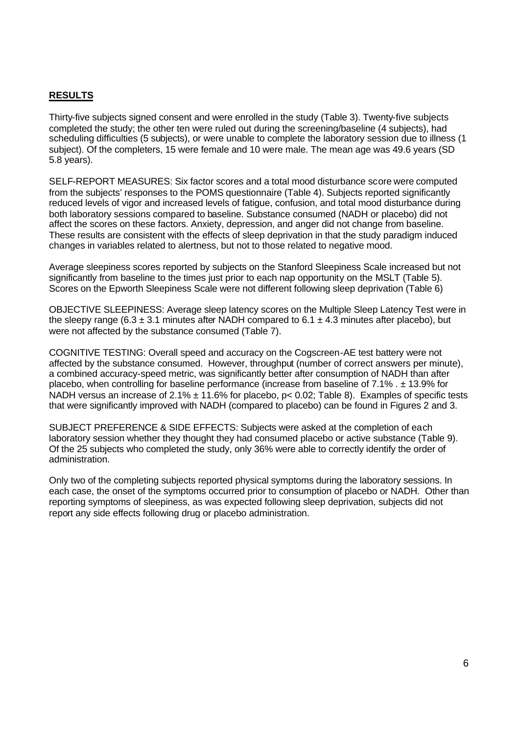### **RESULTS**

Thirty-five subjects signed consent and were enrolled in the study (Table 3). Twenty-five subjects completed the study; the other ten were ruled out during the screening/baseline (4 subjects), had scheduling difficulties (5 subjects), or were unable to complete the laboratory session due to illness (1 subject). Of the completers, 15 were female and 10 were male. The mean age was 49.6 years (SD 5.8 years).

SELF-REPORT MEASURES: Six factor scores and a total mood disturbance score were computed from the subjects' responses to the POMS questionnaire (Table 4). Subjects reported significantly reduced levels of vigor and increased levels of fatigue, confusion, and total mood disturbance during both laboratory sessions compared to baseline. Substance consumed (NADH or placebo) did not affect the scores on these factors. Anxiety, depression, and anger did not change from baseline. These results are consistent with the effects of sleep deprivation in that the study paradigm induced changes in variables related to alertness, but not to those related to negative mood.

Average sleepiness scores reported by subjects on the Stanford Sleepiness Scale increased but not significantly from baseline to the times just prior to each nap opportunity on the MSLT (Table 5). Scores on the Epworth Sleepiness Scale were not different following sleep deprivation (Table 6)

OBJECTIVE SLEEPINESS: Average sleep latency scores on the Multiple Sleep Latency Test were in the sleepy range (6.3  $\pm$  3.1 minutes after NADH compared to 6.1  $\pm$  4.3 minutes after placebo), but were not affected by the substance consumed (Table 7).

COGNITIVE TESTING: Overall speed and accuracy on the Cogscreen-AE test battery were not affected by the substance consumed. However, throughput (number of correct answers per minute), a combined accuracy-speed metric, was significantly better after consumption of NADH than after placebo, when controlling for baseline performance (increase from baseline of 7.1% . ± 13.9% for NADH versus an increase of 2.1%  $\pm$  11.6% for placebo, p< 0.02; Table 8). Examples of specific tests that were significantly improved with NADH (compared to placebo) can be found in Figures 2 and 3.

SUBJECT PREFERENCE & SIDE EFFECTS: Subjects were asked at the completion of each laboratory session whether they thought they had consumed placebo or active substance (Table 9). Of the 25 subjects who completed the study, only 36% were able to correctly identify the order of administration.

Only two of the completing subjects reported physical symptoms during the laboratory sessions. In each case, the onset of the symptoms occurred prior to consumption of placebo or NADH. Other than reporting symptoms of sleepiness, as was expected following sleep deprivation, subjects did not report any side effects following drug or placebo administration.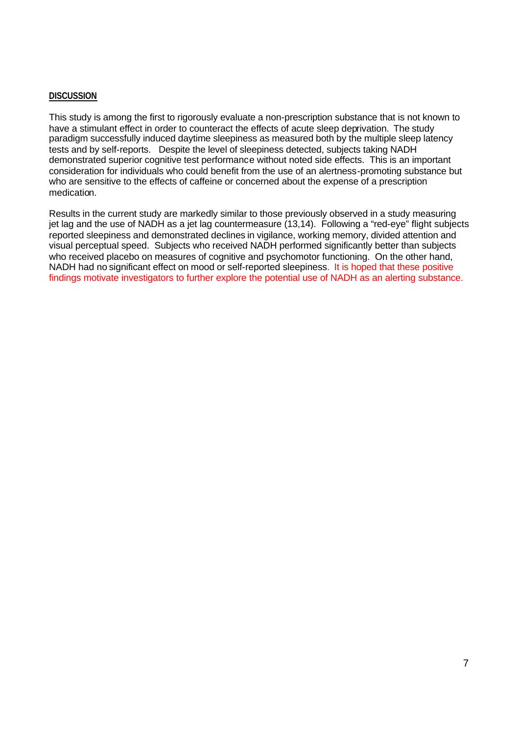#### **DISCUSSION**

This study is among the first to rigorously evaluate a non-prescription substance that is not known to have a stimulant effect in order to counteract the effects of acute sleep deprivation. The study paradigm successfully induced daytime sleepiness as measured both by the multiple sleep latency tests and by self-reports. Despite the level of sleepiness detected, subjects taking NADH demonstrated superior cognitive test performance without noted side effects. This is an important consideration for individuals who could benefit from the use of an alertness-promoting substance but who are sensitive to the effects of caffeine or concerned about the expense of a prescription medication.

Results in the current study are markedly similar to those previously observed in a study measuring jet lag and the use of NADH as a jet lag countermeasure (13,14). Following a "red-eye" flight subjects reported sleepiness and demonstrated declines in vigilance, working memory, divided attention and visual perceptual speed. Subjects who received NADH performed significantly better than subjects who received placebo on measures of cognitive and psychomotor functioning. On the other hand, NADH had no significant effect on mood or self-reported sleepiness. It is hoped that these positive findings motivate investigators to further explore the potential use of NADH as an alerting substance.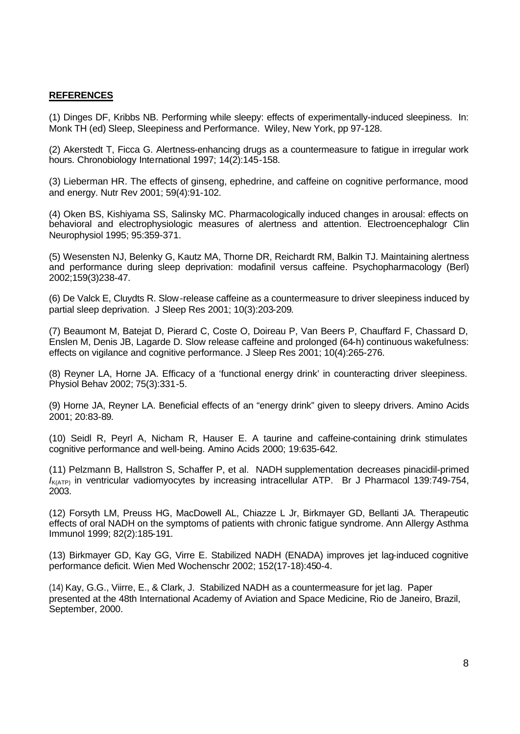#### **REFERENCES**

(1) Dinges DF, Kribbs NB. Performing while sleepy: effects of experimentally-induced sleepiness. In: Monk TH (ed) Sleep, Sleepiness and Performance. Wiley, New York, pp 97-128.

(2) Akerstedt T, Ficca G. Alertness-enhancing drugs as a countermeasure to fatigue in irregular work hours. Chronobiology International 1997; 14(2):145-158.

(3) Lieberman HR. The effects of ginseng, ephedrine, and caffeine on cognitive performance, mood and energy. Nutr Rev 2001; 59(4):91-102.

(4) Oken BS, Kishiyama SS, Salinsky MC. Pharmacologically induced changes in arousal: effects on behavioral and electrophysiologic measures of alertness and attention. Electroencephalogr Clin Neurophysiol 1995; 95:359-371.

(5) Wesensten NJ, Belenky G, Kautz MA, Thorne DR, Reichardt RM, Balkin TJ. Maintaining alertness and performance during sleep deprivation: modafinil versus caffeine. Psychopharmacology (Berl) 2002;159(3)238-47.

(6) De Valck E, Cluydts R. Slow-release caffeine as a countermeasure to driver sleepiness induced by partial sleep deprivation. J Sleep Res 2001; 10(3):203-209.

(7) Beaumont M, Batejat D, Pierard C, Coste O, Doireau P, Van Beers P, Chauffard F, Chassard D, Enslen M, Denis JB, Lagarde D. Slow release caffeine and prolonged (64-h) continuous wakefulness: effects on vigilance and cognitive performance. J Sleep Res 2001; 10(4):265-276.

(8) Reyner LA, Horne JA. Efficacy of a 'functional energy drink' in counteracting driver sleepiness. Physiol Behav 2002; 75(3):331-5.

(9) Horne JA, Reyner LA. Beneficial effects of an "energy drink" given to sleepy drivers. Amino Acids 2001; 20:83-89.

(10) Seidl R, Peyrl A, Nicham R, Hauser E. A taurine and caffeine-containing drink stimulates cognitive performance and well-being. Amino Acids 2000; 19:635-642.

(11) Pelzmann B, Hallstron S, Schaffer P, et al. NADH supplementation decreases pinacidil-primed *I<sub>K(ATP)</sub>* in ventricular vadiomyocytes by increasing intracellular ATP. Br J Pharmacol 139:749-754, 2003.

(12) Forsyth LM, Preuss HG, MacDowell AL, Chiazze L Jr, Birkmayer GD, Bellanti JA. Therapeutic effects of oral NADH on the symptoms of patients with chronic fatigue syndrome. Ann Allergy Asthma Immunol 1999; 82(2):185-191.

(13) Birkmayer GD, Kay GG, Virre E. Stabilized NADH (ENADA) improves jet lag-induced cognitive performance deficit. Wien Med Wochenschr 2002; 152(17-18):450-4.

(14) Kay, G.G., Viirre, E., & Clark, J. Stabilized NADH as a countermeasure for jet lag. Paper presented at the 48th International Academy of Aviation and Space Medicine, Rio de Janeiro, Brazil, September, 2000.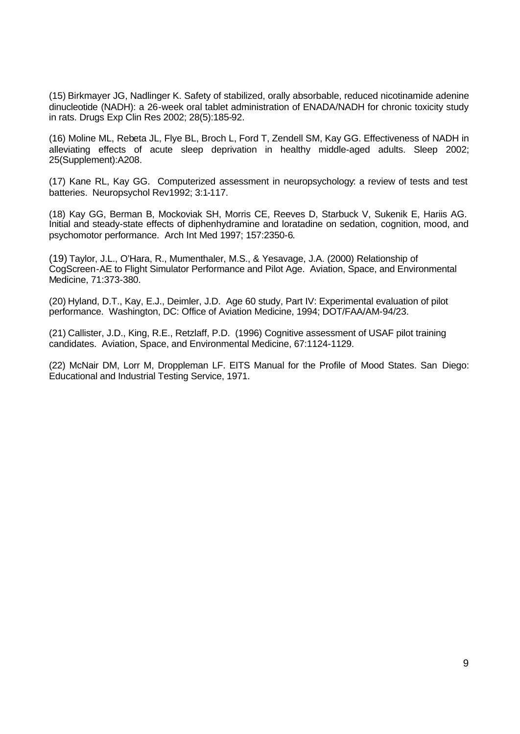(15) Birkmayer JG, Nadlinger K. Safety of stabilized, orally absorbable, reduced nicotinamide adenine dinucleotide (NADH): a 26-week oral tablet administration of ENADA/NADH for chronic toxicity study in rats. Drugs Exp Clin Res 2002; 28(5):185-92.

(16) Moline ML, Rebeta JL, Flye BL, Broch L, Ford T, Zendell SM, Kay GG. Effectiveness of NADH in alleviating effects of acute sleep deprivation in healthy middle-aged adults. Sleep 2002; 25(Supplement):A208.

(17) Kane RL, Kay GG. Computerized assessment in neuropsychology: a review of tests and test batteries. Neuropsychol Rev1992; 3:1-117.

(18) Kay GG, Berman B, Mockoviak SH, Morris CE, Reeves D, Starbuck V, Sukenik E, Hariis AG. Initial and steady-state effects of diphenhydramine and loratadine on sedation, cognition, mood, and psychomotor performance. Arch Int Med 1997; 157:2350-6.

(19) Taylor, J.L., O'Hara, R., Mumenthaler, M.S., & Yesavage, J.A. (2000) Relationship of CogScreen-AE to Flight Simulator Performance and Pilot Age. Aviation, Space, and Environmental Medicine, 71:373-380.

(20) Hyland, D.T., Kay, E.J., Deimler, J.D. Age 60 study, Part IV: Experimental evaluation of pilot performance. Washington, DC: Office of Aviation Medicine, 1994; DOT/FAA/AM-94/23.

(21) Callister, J.D., King, R.E., Retzlaff, P.D. (1996) Cognitive assessment of USAF pilot training candidates. Aviation, Space, and Environmental Medicine, 67:1124-1129.

(22) McNair DM, Lorr M, Droppleman LF. EITS Manual for the Profile of Mood States. San Diego: Educational and Industrial Testing Service, 1971.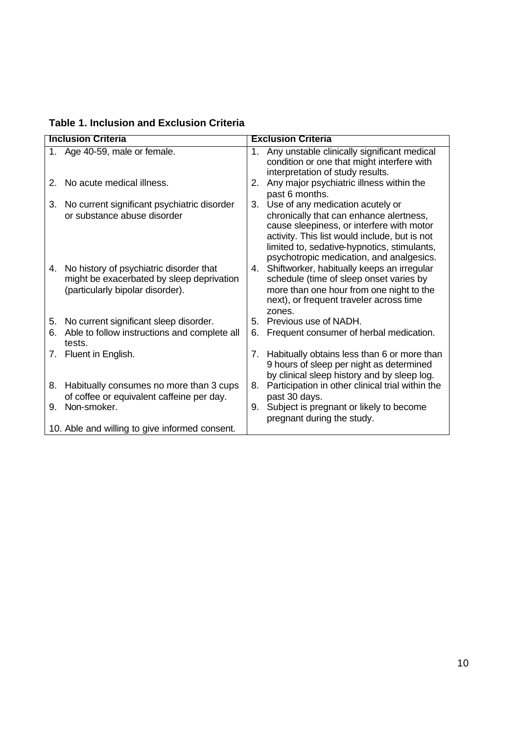**Table 1. Inclusion and Exclusion Criteria**

|    | <b>Inclusion Criteria</b>                                                                                                |    | <b>Exclusion Criteria</b>                                                                                                                                                                                                                                            |
|----|--------------------------------------------------------------------------------------------------------------------------|----|----------------------------------------------------------------------------------------------------------------------------------------------------------------------------------------------------------------------------------------------------------------------|
|    | 1. Age 40-59, male or female.                                                                                            | 1. | Any unstable clinically significant medical<br>condition or one that might interfere with<br>interpretation of study results.                                                                                                                                        |
| 2. | No acute medical illness.                                                                                                | 2. | Any major psychiatric illness within the<br>past 6 months.                                                                                                                                                                                                           |
| 3. | No current significant psychiatric disorder<br>or substance abuse disorder                                               | 3. | Use of any medication acutely or<br>chronically that can enhance alertness,<br>cause sleepiness, or interfere with motor<br>activity. This list would include, but is not<br>limited to, sedative-hypnotics, stimulants,<br>psychotropic medication, and analgesics. |
| 4. | No history of psychiatric disorder that<br>might be exacerbated by sleep deprivation<br>(particularly bipolar disorder). |    | 4. Shiftworker, habitually keeps an irregular<br>schedule (time of sleep onset varies by<br>more than one hour from one night to the<br>next), or frequent traveler across time<br>zones.                                                                            |
| 5. | No current significant sleep disorder.                                                                                   |    | 5. Previous use of NADH.                                                                                                                                                                                                                                             |
| 6. | Able to follow instructions and complete all<br>tests.                                                                   | 6. | Frequent consumer of herbal medication.                                                                                                                                                                                                                              |
|    | 7. Fluent in English.                                                                                                    | 7. | Habitually obtains less than 6 or more than<br>9 hours of sleep per night as determined<br>by clinical sleep history and by sleep log.                                                                                                                               |
| 8. | Habitually consumes no more than 3 cups<br>of coffee or equivalent caffeine per day.                                     | 8. | Participation in other clinical trial within the<br>past 30 days.                                                                                                                                                                                                    |
| 9. | Non-smoker.                                                                                                              |    | 9. Subject is pregnant or likely to become<br>pregnant during the study.                                                                                                                                                                                             |
|    | 10. Able and willing to give informed consent.                                                                           |    |                                                                                                                                                                                                                                                                      |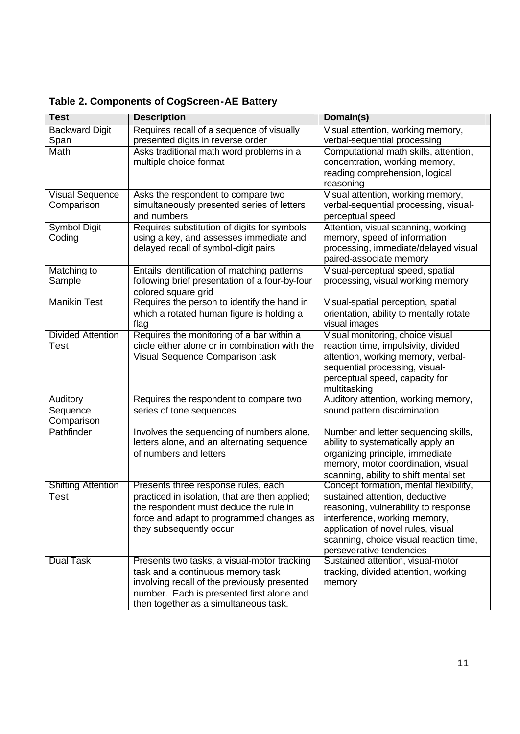| <b>Test</b>               | <b>Description</b>                                                                            | Domain(s)                                                              |
|---------------------------|-----------------------------------------------------------------------------------------------|------------------------------------------------------------------------|
| <b>Backward Digit</b>     | Requires recall of a sequence of visually                                                     | Visual attention, working memory,                                      |
| Span                      | presented digits in reverse order                                                             | verbal-sequential processing                                           |
| Math                      | Asks traditional math word problems in a                                                      | Computational math skills, attention,                                  |
|                           | multiple choice format                                                                        | concentration, working memory,                                         |
|                           |                                                                                               | reading comprehension, logical                                         |
|                           |                                                                                               | reasoning                                                              |
| <b>Visual Sequence</b>    | Asks the respondent to compare two                                                            | Visual attention, working memory,                                      |
| Comparison                | simultaneously presented series of letters                                                    | verbal-sequential processing, visual-                                  |
|                           | and numbers                                                                                   | perceptual speed                                                       |
| <b>Symbol Digit</b>       | Requires substitution of digits for symbols                                                   | Attention, visual scanning, working                                    |
| Coding                    | using a key, and assesses immediate and                                                       | memory, speed of information                                           |
|                           | delayed recall of symbol-digit pairs                                                          | processing, immediate/delayed visual                                   |
|                           |                                                                                               | paired-associate memory                                                |
| Matching to<br>Sample     | Entails identification of matching patterns<br>following brief presentation of a four-by-four | Visual-perceptual speed, spatial<br>processing, visual working memory  |
|                           | colored square grid                                                                           |                                                                        |
| <b>Manikin Test</b>       | Requires the person to identify the hand in                                                   | Visual-spatial perception, spatial                                     |
|                           | which a rotated human figure is holding a                                                     | orientation, ability to mentally rotate                                |
|                           | flag                                                                                          | visual images                                                          |
| <b>Divided Attention</b>  | Requires the monitoring of a bar within a                                                     | Visual monitoring, choice visual                                       |
| Test                      | circle either alone or in combination with the                                                | reaction time, impulsivity, divided                                    |
|                           | Visual Sequence Comparison task                                                               | attention, working memory, verbal-                                     |
|                           |                                                                                               | sequential processing, visual-                                         |
|                           |                                                                                               | perceptual speed, capacity for                                         |
|                           |                                                                                               | multitasking                                                           |
| Auditory                  | Requires the respondent to compare two                                                        | Auditory attention, working memory,                                    |
| Sequence                  | series of tone sequences                                                                      | sound pattern discrimination                                           |
| Comparison                |                                                                                               |                                                                        |
| Pathfinder                | Involves the sequencing of numbers alone,                                                     | Number and letter sequencing skills,                                   |
|                           | letters alone, and an alternating sequence                                                    | ability to systematically apply an                                     |
|                           | of numbers and letters                                                                        | organizing principle, immediate                                        |
|                           |                                                                                               | memory, motor coordination, visual                                     |
|                           |                                                                                               | scanning, ability to shift mental set                                  |
| <b>Shifting Attention</b> | Presents three response rules, each                                                           | Concept formation, mental flexibility,                                 |
| Test                      | practiced in isolation, that are then applied;                                                | sustained attention, deductive<br>reasoning, vulnerability to response |
|                           | the respondent must deduce the rule in                                                        |                                                                        |
|                           | force and adapt to programmed changes as<br>they subsequently occur                           | interference, working memory,<br>application of novel rules, visual    |
|                           |                                                                                               | scanning, choice visual reaction time,                                 |
|                           |                                                                                               | perseverative tendencies                                               |
| <b>Dual Task</b>          | Presents two tasks, a visual-motor tracking                                                   | Sustained attention, visual-motor                                      |
|                           | task and a continuous memory task                                                             | tracking, divided attention, working                                   |
|                           | involving recall of the previously presented                                                  | memory                                                                 |
|                           | number. Each is presented first alone and                                                     |                                                                        |
|                           | then together as a simultaneous task.                                                         |                                                                        |

**Table 2. Components of CogScreen-AE Battery**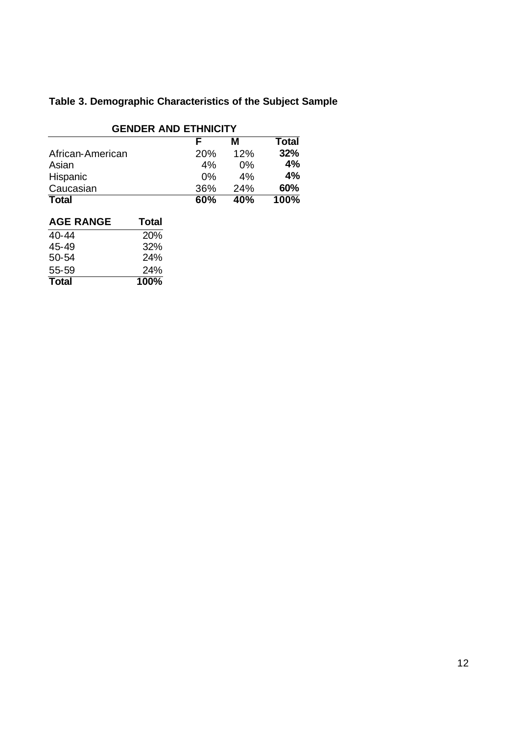# **Table 3. Demographic Characteristics of the Subject Sample**

| <b>GENDER AND ETHNICITY</b> |                 |       |       |  |  |
|-----------------------------|-----------------|-------|-------|--|--|
|                             |                 | м     | Total |  |  |
| African-American            | 20 <sub>%</sub> | 12%   | 32%   |  |  |
| Asian                       | 4%              | $0\%$ | 4%    |  |  |
| Hispanic                    | $0\%$           | 4%    | 4%    |  |  |
| Caucasian                   | 36%             | 24%   | 60%   |  |  |
| <b>Total</b>                | 60%             | 40%   | 100%  |  |  |

| <b>AGE RANGE</b> | Total      |
|------------------|------------|
| 40-44            | <b>20%</b> |
| 45-49            | 32%        |
| $50-54$          | 24%        |
| 55-59            | 24%        |
| <b>Total</b>     | 100%       |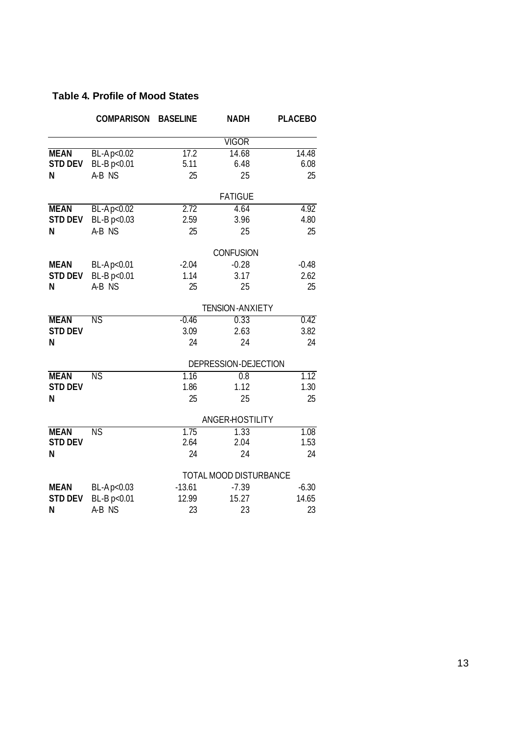## **Table 4. Profile of Mood States**

|                | <b>COMPARISON</b>      | <b>BASELINE</b>        | <b>NADH</b>            | <b>PLACEBO</b> |
|----------------|------------------------|------------------------|------------------------|----------------|
|                |                        |                        | VIGOR                  |                |
| <b>MEAN</b>    | BL-Ap<0.02             | 17.2                   | 14.68                  | 14.48          |
| <b>STD DEV</b> | BL-B p<0.01            | 5.11                   | 6.48                   | 6.08           |
| N              | A-B NS                 | 25                     | 25                     | 25             |
|                |                        |                        | <b>FATIGUE</b>         |                |
| <b>MEAN</b>    | BL-Ap<0.02             | 2.72                   | 4.64                   | 4.92           |
| <b>STD DEV</b> | BL-B p<0.03            | 2.59                   | 3.96                   | 4.80           |
| N              | A-B NS                 | 25                     | 25                     | 25             |
|                |                        |                        | <b>CONFUSION</b>       |                |
| <b>MEAN</b>    | BL-Ap<0.01             | $-2.04$                | $-0.28$                | $-0.48$        |
| <b>STD DEV</b> | BL-B p<0.01            | 1.14                   | 3.17                   | 2.62           |
| N              | A-B NS                 | 25                     | 25                     | 25             |
|                |                        |                        | <b>TENSION-ANXIETY</b> |                |
| <b>MEAN</b>    | ΝS                     | $-0.46$                | 0.33                   | 0.42           |
| <b>STD DEV</b> |                        | 3.09                   | 2.63                   | 3.82           |
| N              |                        | 24                     | 24                     | 24             |
|                |                        |                        | DEPRESSION-DEJECTION   |                |
| <b>MEAN</b>    | <b>NS</b>              | 1.16                   | $\overline{0.8}$       | 1.12           |
| <b>STD DEV</b> |                        | 1.86                   | 1.12                   | 1.30           |
| N              |                        | 25                     | 25                     | 25             |
|                |                        |                        | ANGER-HOSTILITY        |                |
| <b>MEAN</b>    | $\overline{\text{NS}}$ | 1.75                   | 1.33                   | 1.08           |
| <b>STD DEV</b> |                        | 2.64                   | 2.04                   | 1.53           |
| N              |                        | 24                     | 24                     | 24             |
|                |                        | TOTAL MOOD DISTURBANCE |                        |                |
| <b>MEAN</b>    | BL-Ap<0.03             | $-13.61$               | $-7.39$                | $-6.30$        |
| <b>STD DEV</b> | BL-B p<0.01            | 12.99                  | 15.27                  | 14.65          |
| N              | A-B NS                 | 23                     | 23                     | 23             |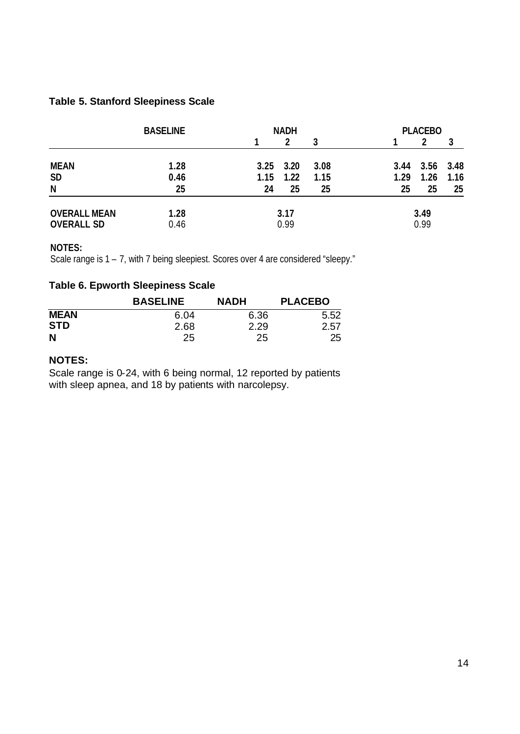## **Table 5. Stanford Sleepiness Scale**

|                     | <b>BASELINE</b> | <b>NADH</b> |               | <b>PLACEBO</b> |      |           |      |
|---------------------|-----------------|-------------|---------------|----------------|------|-----------|------|
|                     |                 |             |               | 3              |      |           |      |
| <b>MEAN</b>         | 1.28            |             | $3.25$ $3.20$ | 3.08           | 3.44 | 3.56 3.48 |      |
| <b>SD</b>           | 0.46            | 1.15        | 1.22          | 1.15           | 1.29 | 1.26      | 1.16 |
| N                   | 25              | 24          | 25            | 25             | 25   | 25        | 25   |
| <b>OVERALL MEAN</b> | 1.28            |             | 3.17          |                |      | 3.49      |      |
| <b>OVERALL SD</b>   | 0.46            |             | 0.99          |                |      | 0.99      |      |

### **NOTES:**

Scale range is 1 – 7, with 7 being sleepiest. Scores over 4 are considered "sleepy."

## **Table 6. Epworth Sleepiness Scale**

|             | <b>BASELINE</b> | <b>NADH</b> | <b>PLACEBO</b> |
|-------------|-----------------|-------------|----------------|
| <b>MEAN</b> | 6.04            | 6.36        | 5.52           |
| <b>STD</b>  | 2.68            | 2.29        | 2.57           |
| N           | 25              | 25          | 25             |

### **NOTES:**

Scale range is 0-24, with 6 being normal, 12 reported by patients with sleep apnea, and 18 by patients with narcolepsy.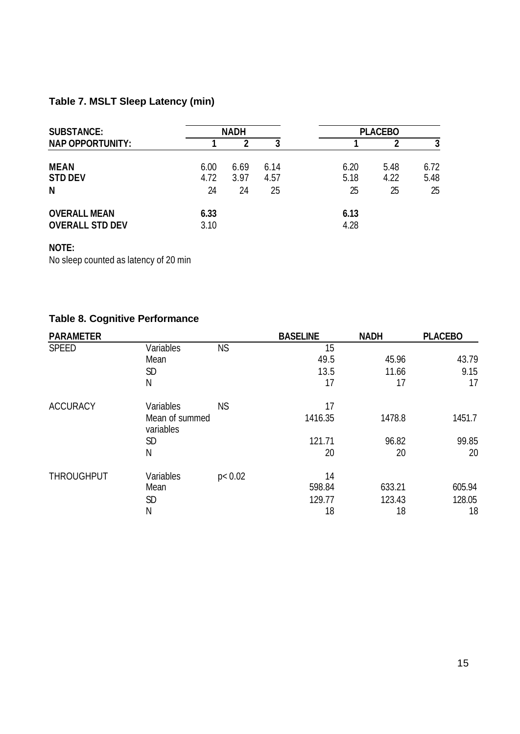# **Table 7. MSLT Sleep Latency (min)**

| <b>SUBSTANCE:</b>                             | <b>NADH</b>        |                    |                    | <b>PLACEBO</b>     |                    |                    |
|-----------------------------------------------|--------------------|--------------------|--------------------|--------------------|--------------------|--------------------|
| <b>NAP OPPORTUNITY:</b>                       |                    |                    |                    |                    |                    | 3                  |
| <b>MEAN</b><br><b>STD DEV</b><br>N            | 6.00<br>4.72<br>24 | 6.69<br>3.97<br>24 | 6.14<br>4.57<br>25 | 6.20<br>5.18<br>25 | 5.48<br>4.22<br>25 | 6.72<br>5.48<br>25 |
| <b>OVERALL MEAN</b><br><b>OVERALL STD DEV</b> | 6.33<br>3.10       |                    |                    | 6.13<br>4.28       |                    |                    |

## **NOTE:**

No sleep counted as latency of 20 min

## **Table 8. Cognitive Performance**

| <b>PARAMETER</b>  |                             |           | <b>BASELINE</b> | <b>NADH</b> | <b>PLACEBO</b> |
|-------------------|-----------------------------|-----------|-----------------|-------------|----------------|
| <b>SPEED</b>      | Variables                   | <b>NS</b> | 15              |             |                |
|                   | Mean                        |           | 49.5            | 45.96       | 43.79          |
|                   | <b>SD</b>                   |           | 13.5            | 11.66       | 9.15           |
|                   | Ν                           |           | 17              | 17          | 17             |
| <b>ACCURACY</b>   | Variables                   | <b>NS</b> | 17              |             |                |
|                   | Mean of summed<br>variables |           | 1416.35         | 1478.8      | 1451.7         |
|                   | <b>SD</b>                   |           | 121.71          | 96.82       | 99.85          |
|                   | N                           |           | 20              | 20          | 20             |
| <b>THROUGHPUT</b> | Variables                   | p < 0.02  | 14              |             |                |
|                   | Mean                        |           | 598.84          | 633.21      | 605.94         |
|                   | SD                          |           | 129.77          | 123.43      | 128.05         |
|                   | Ν                           |           | 18              | 18          | 18             |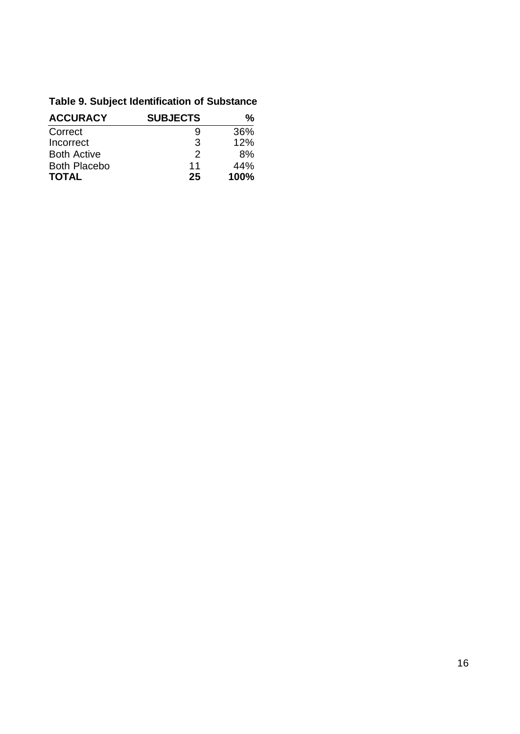# **Table 9. Subject Identification of Substance**

| <b>ACCURACY</b>     | <b>SUBJECTS</b> | %    |
|---------------------|-----------------|------|
| Correct             | 9               | 36%  |
| Incorrect           | 3               | 12%  |
| <b>Both Active</b>  | 2               | 8%   |
| <b>Both Placebo</b> | 11              | 44%  |
| <b>TOTAL</b>        | 25              | 100% |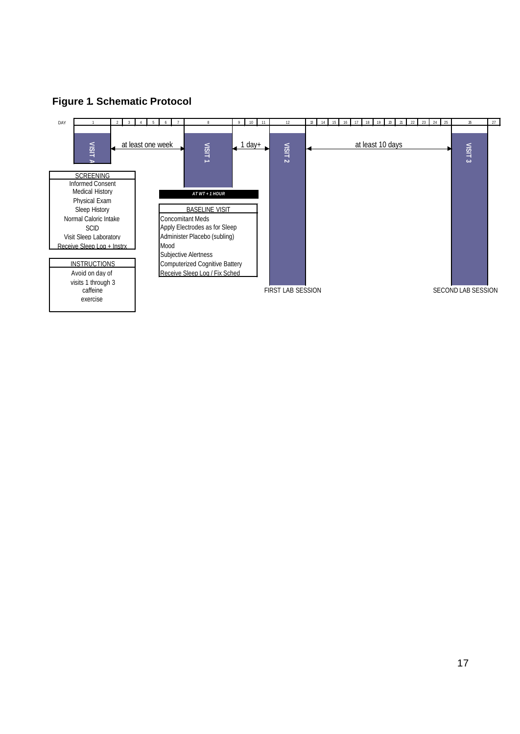

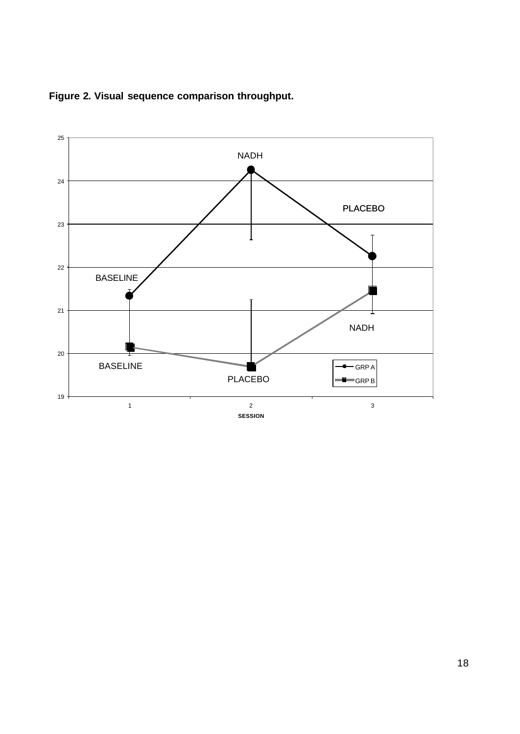

**Figure 2. Visual sequence comparison throughput.**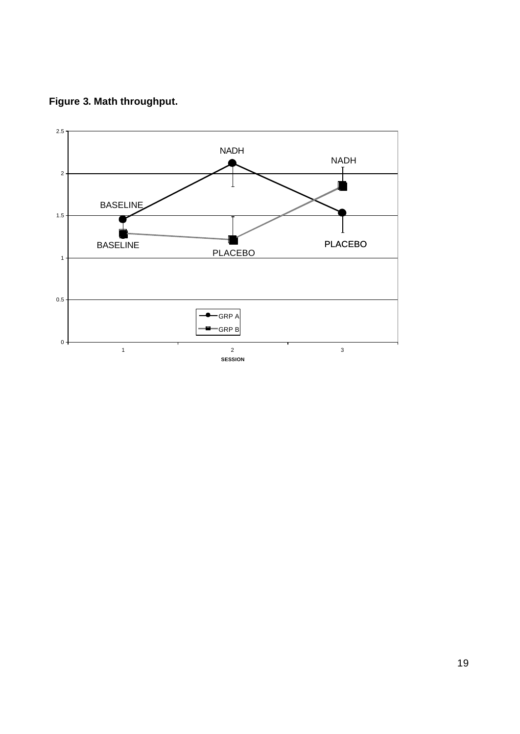**Figure 3. Math throughput.**